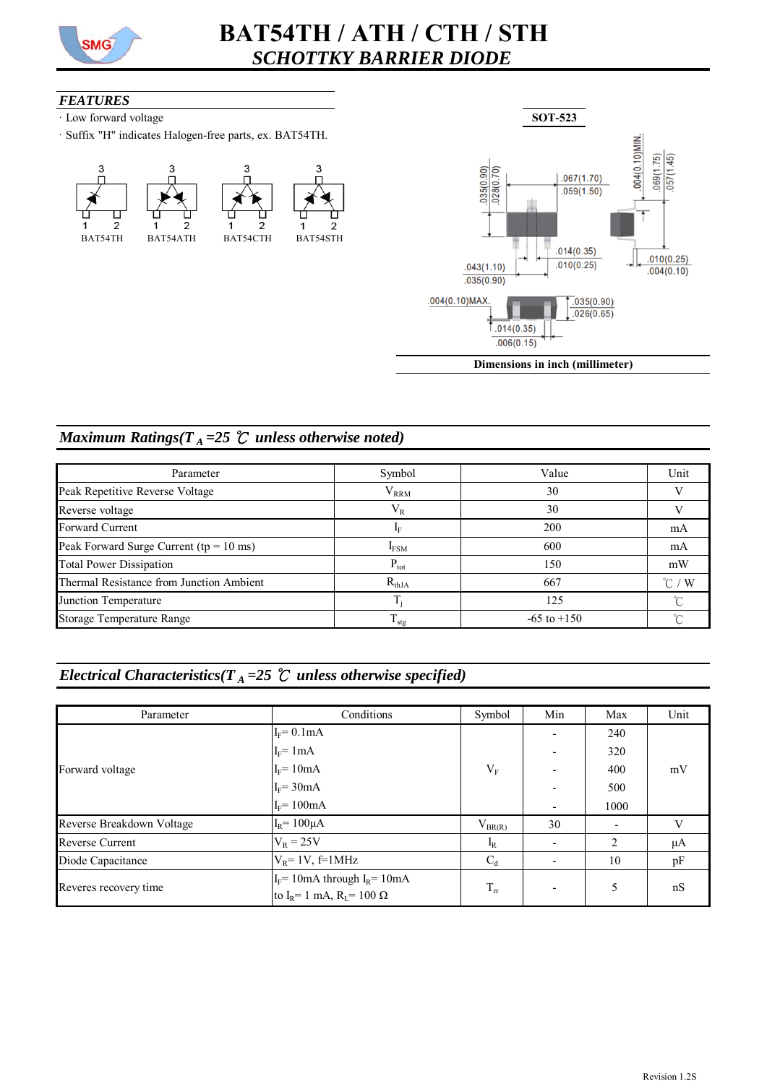

# **BAT54TH / ATH / CTH / STH** *SCHOTTKY BARRIER DIODE*

#### *FEATURES*

- ꞏ Low forward voltage
- ꞏ Suffix "H" indicates Halogen-free parts, ex. BAT54TH.





**Dimensions in inch (millimeter)**

### *Maximum Ratings*( $T_A = 25$   $\degree$ *C unless otherwise noted)*

| Parameter                                              | Symbol            | Value           | Unit                |
|--------------------------------------------------------|-------------------|-----------------|---------------------|
| Peak Repetitive Reverse Voltage                        | $V_{RRM}$         | 30              |                     |
| Reverse voltage                                        | 30<br>$\rm V_R$   |                 |                     |
| <b>Forward Current</b>                                 |                   | 200             | mA                  |
| Peak Forward Surge Current ( $tp = 10$ ms)             | <b>IFSM</b>       | 600             | mA                  |
| <b>Total Power Dissipation</b>                         | $P_{\text{tot}}$  | 150             | mW                  |
| Thermal Resistance from Junction Ambient               | $R_{thJA}$<br>667 |                 | $^{\circ}$ C ,<br>W |
| Junction Temperature                                   |                   | 125             |                     |
| Storage Temperature Range<br>$\mathbf{I}_{\text{stg}}$ |                   | $-65$ to $+150$ |                     |

## *Electrical Characteristics*( $T_A = 25$   $\degree$ *C unless otherwise specified*)

| Parameter                                                                                           | Conditions          | Symbol        | Min                      | Max  | Unit |
|-----------------------------------------------------------------------------------------------------|---------------------|---------------|--------------------------|------|------|
|                                                                                                     | $I_F = 0.1mA$       |               |                          | 240  |      |
| Forward voltage                                                                                     | $I_F = 1mA$         |               | $\overline{\phantom{0}}$ | 320  |      |
|                                                                                                     | $I_F = 10mA$        | $\rm V_F$     |                          | 400  | mV   |
|                                                                                                     | $I_F = 30mA$        |               |                          | 500  |      |
|                                                                                                     | $I_F = 100mA$       |               | $\overline{\phantom{0}}$ | 1000 |      |
| Reverse Breakdown Voltage                                                                           | $I_R$ = 100 $\mu$ A | $V_{BR(R)}$   | 30                       |      | V    |
| <b>Reverse Current</b>                                                                              | $V_R = 25V$         | $I_R$         | $\overline{\phantom{0}}$ | 2    | μA   |
| Diode Capacitance                                                                                   | $V_R$ = 1V, f=1MHz  | $C_d$         |                          | 10   | pF   |
| $I_F$ = 10mA through $I_R$ = 10mA<br>Reveres recovery time<br>to $I_R$ = 1 mA, $R_I$ = 100 $\Omega$ |                     | $T_{\rm{rr}}$ |                          | 5    | nS   |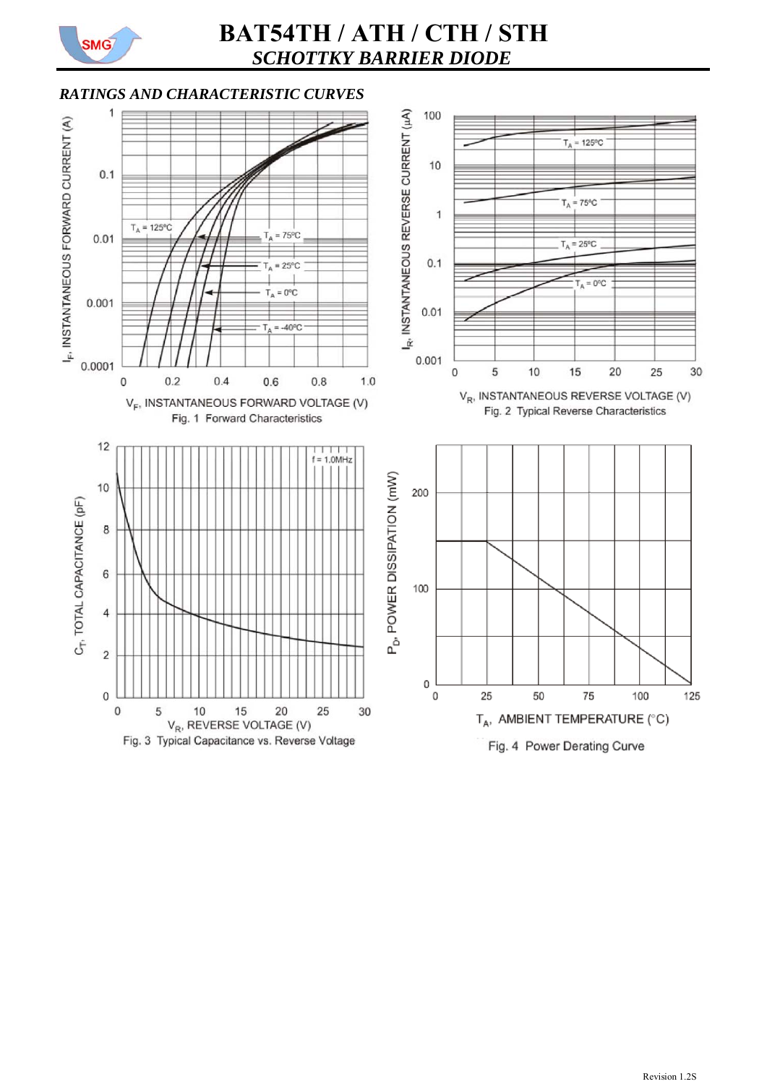

# **BAT54TH / ATH / CTH / STH** *SCHOTTKY BARRIER DIODE*

### *RATINGS AND CHARACTERISTIC CURVES*

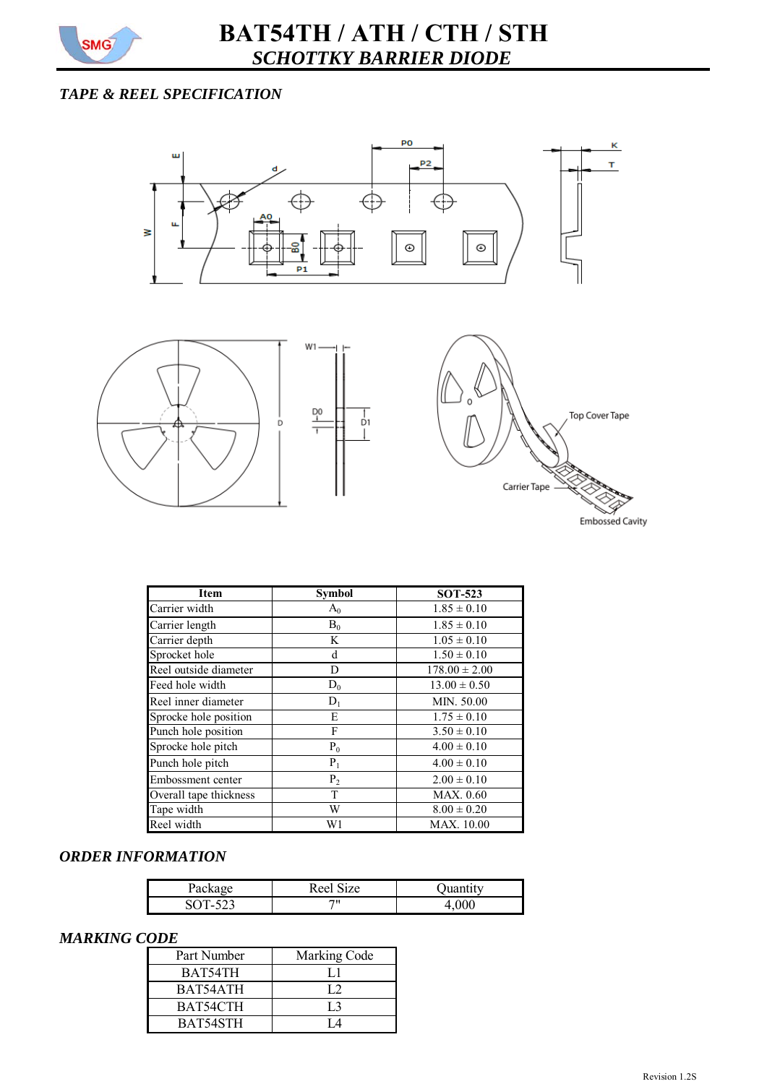

### *TAPE & REEL SPECIFICATION*



| <b>Item</b>            | <b>Symbol</b>  | <b>SOT-523</b>    |
|------------------------|----------------|-------------------|
| Carrier width          | $A_0$          | $1.85 \pm 0.10$   |
| Carrier length         | $B_0$          | $1.85 \pm 0.10$   |
| Carrier depth          | K              | $1.05 \pm 0.10$   |
| Sprocket hole          | d              | $1.50 \pm 0.10$   |
| Reel outside diameter  | D              | $178.00 \pm 2.00$ |
| Feed hole width        | $D_0$          | $13.00 \pm 0.50$  |
| Reel inner diameter    | $D_1$          | MIN. 50.00        |
| Sprocke hole position  | E              | $1.75 \pm 0.10$   |
| Punch hole position    | F              | $3.50 \pm 0.10$   |
| Sprocke hole pitch     | $P_0$          | $4.00 \pm 0.10$   |
| Punch hole pitch       | $P_1$          | $4.00 \pm 0.10$   |
| Embossment center      | P <sub>2</sub> | $2.00 \pm 0.10$   |
| Overall tape thickness | T              | MAX. 0.60         |
| Tape width             | W              | $8.00 \pm 0.20$   |
| Reel width             | W1             | MAX. 10.00        |

#### *ORDER INFORMATION*

| Do∩<br>$\alpha$ | Reel Size |  |
|-----------------|-----------|--|
| $SOT-522$       | 711       |  |

#### *MARKING CODE*

| Part Number | Marking Code   |
|-------------|----------------|
| BAT54TH     | IJ             |
| BAT54ATH    | L.             |
| BAT54CTH    | L <sub>3</sub> |
| BAT54STH    |                |